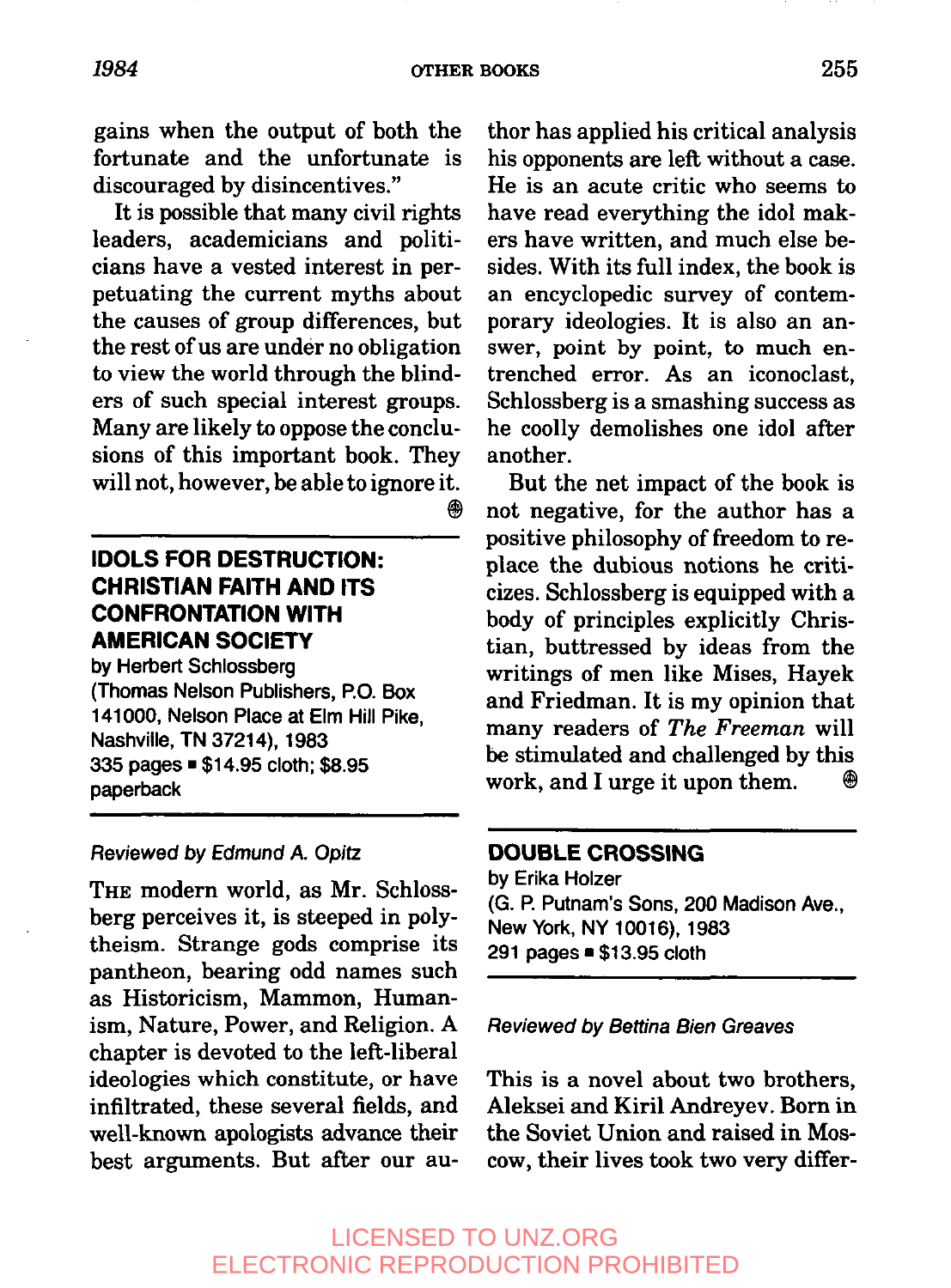gains when the output of both the fortunate and the unfortunate is discouraged by disincentives."

It is possible that many civil rights leaders, academicians and politicians have a vested interest in perpetuating the current myths about the causes of group differences, but the rest of us are under no obligation to view the world through the blinders of such special interest groups. Many are likely to oppose the conclusions of this important book. They will not, however, be able to ignore it. ⊛

### **IDOLS FOR DESTRUCTION: CHRISTIAN FAITH AND ITS CONFRONTATION WITH AMERICAN SOCIETY**

by Herbert Schlossberg (Thomas Nelson Publishers, P.O. Box 141000, Nelson Place at Elm Hill Pike, Nashville, TN 37214), 1983 335 pages = \$14.95 cloth; \$8.95 paperback

#### Reviewed by Edmund A. Opitz

THE modern world, as Mr. Schlossberg perceives it, is steeped in polytheism. Strange gods comprise its pantheon, bearing odd names such as Historicism, Mammon, Humanism, Nature, Power, and Religion. A chapter is devoted to the left-liberal ideologies which constitute, or have infiltrated, these several fields, and well-known apologists advance their best arguments. But after our au-

thor has applied his critical analysis his opponents are left without a case. He is an acute critic who seems to have read everything the idol makers have written, and much else besides. With its full index, the book is an encyclopedic survey of contemporary ideologies. It is also an answer, point by point, to much entrenched error. As an iconoclast, Schlossberg is a smashing success as he coolly demolishes one idol after another.

But the net impact of the book is not negative, for the author has a positive philosophy of freedom to replace the dubious notions he criticizes. Schlossberg is equipped with a body of principles explicitly Christian, buttressed by ideas from the writings of men like Mises, Hayek and Friedman. It is my opinion that many readers of *The Freeman* will be stimulated and challenged by this work, and I urge it upon them.  $\oplus$ 

#### **DOUBLE CROSSING**

by Erika Holzer (G. P. Putnam's Sons, 200 Madison Ave., New York, NY 10016), 1983 291 pages = \$13.95 cloth

#### Reviewed by Bettina Bien Greaves

This is a novel about two brothers, Aleksei and Kiril Andreyev. Born in the Soviet Union and raised in Moscow, their lives took two very differ-

## LICENSED TO UNZ.ORG ELECTRONIC REPRODUCTION PROHIBITED